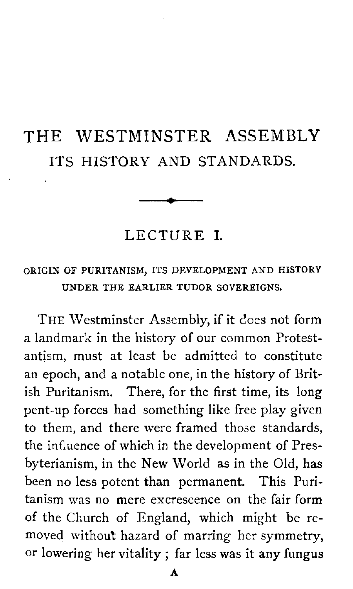# THE WESTMINSTER ASSEMBLY ITS HISTORY AND STANDARDS.

LECTURE **I.** 

#### ORIGIN OF PURITANISM, ITS DEVELOPMENT AND HISTORY UNDER THE EARLIER TUDOR SOVEREIGNS.

THE Westminster Assembly, if it does not form a landmark in the history of our common Protestantism, must at least be admitted to constitute an epoch, and a notable one, in the history of British Puritanism. There, for the first time, its long pent-up forces had something like free play given to them, and there were framed those standards, the influence of which in the development of Presbyterianism, in the New World as in the Old, **has**  been no less potent than permanent. This Puritanism was no mere excrescence on the fair form of the Church of England, which might be removed without hazard of marring her symmetry, or lowering her vitality ; far less was it any fungus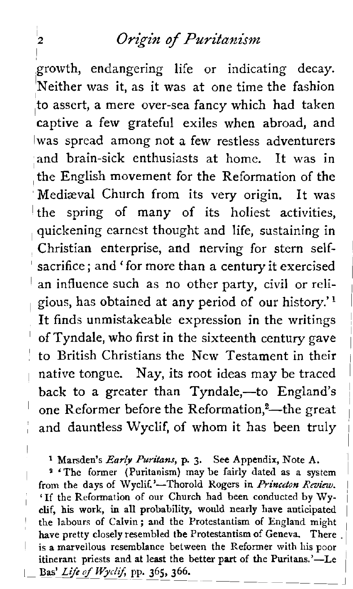growth, endangering life or indicating decay. Neither was it, as it was at one time the fashion to assert, a mere over-sea fancy which had taken captive a few grateful exiles when abroad, and was spread among not a few restless adventurers and brain-sick enthusiasts at home. It was in the English movement for the Reformation of the Mediaeval Church from its very origin. It was  $\pm$  the spring of many of its holiest activities. quickening earnest thought and life, sustaining in , Christian enterprise, and nerving for stem selfsacrifice; and ' for more than **a** century it exercised an influence such as no other party, civil or religious, has obtained at any period of our history.<sup>'1</sup> It finds unmistakeable expression in the writings of Tyndale, who first in the sixteenth century gave to British Christians the New Testament in their native tongue. Nay, its root ideas may be traced back to a greater than Tyndale,-to England's one Reformer before the Reformation,<sup>2</sup>—the great and dauntless Wyclif, of whom it has been truly

**1** Marsden's Early **Puritans,** p. **3.** See Appendix, Note A. <sup>1</sup>

<sup>9</sup> 'The former (Puritanism) may be fairly dated as a system from the days of Wyclif.'-Thorold Rogers in *Princeton Review*. 'If the Reformation of our Church had been conducted by **Wy-** <sup>i</sup> clif, his work, in all probability, would nearly have anticipated the labours of Calvin; and the Protestantism of England might have pretty closely resembled the Protestantism of Geneva. There . is a marvellous resemblance between the Reformer with his poor itinerant priests and at least the better part of the Puritans.'—Le Bas' Life of Wyclif, pp. 365, 366.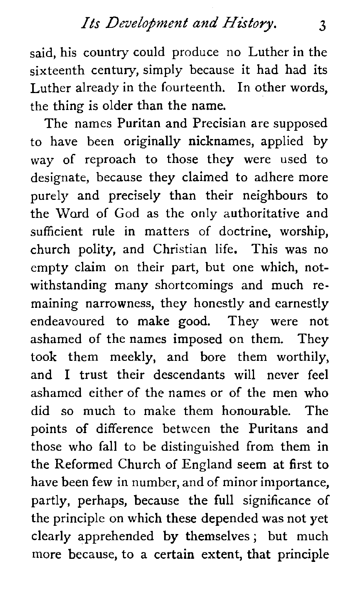said, his country could produce no Luther in the sixteenth century, simply because it had had its Luther already in the fourteenth. In other words, the thing is older than the name.

The names Puritan and Precisian are supposed to have been originally nicknames, applied by way of reproach to those they were used to designate, because they claimed to adhere more purely and precisely than their neighbours to the Word of God as the only authoritative and sufficient rule in matters of doctrine, worship, church polity, and Christian life. This was no empty claim on their part, but one which, notwithstanding many shortcomings and much remaining narrowness, they honestly and earnestly endeavoured to make good. They were not ashamed of the names imposed on them. They took them meekly, and bore them worthily, and I trust their descendants will never feel ashamed either of the names or of the men who did so much to make them honourable. The points of difference between the Puritans and those who fall to be distinguished from them in the Reformed Church of England seem at first to have been few in number, and of minor importance, partly, perhaps, because the full significance of the principle on which these depended was not yet clearly apprehended by themselves ; but much more because, to a certain extent, that principle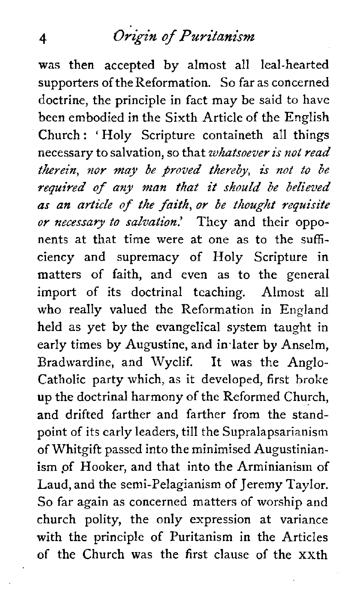was then accepted by almost all leal-hearted supporters of the Reformation. So far as concerned doctrine, the principle in fact may be said to have been embodied in the Sixth Article of the English Church : ' Holy Scripture containeth all things necessary to salvation, so that whatsoever is not read therein, nor may *be* proved thereby, is not to be required of **any man that** it should be believed as an article of the *faith, or be* thought requisite or necessary to salvation.' They and their opponents at that time were at one as to the sufficiency and supremacy of Holy Scripture in matters of faith, and even as to the general import of its doctrinal teaching. Almost all who really valued the Reformation in England held as yet by the evangelical system taught in early times by Augustine, and in-later by Anselm, Bradwardine, and Wyclif. It was the Anglo-Catholic party which, as it developed, first broke **up** the doctrinal harmony of the Reformed Church, and drifted farther and farther from the standpoint of its early leaders, till the Supralapsarianism of Whitgift passed into the minimised Augustinianism of Hooker, and that into the Arminianism of Laud, and the semi-Pelagianism of Jeremy Taylor. So far again as concerned matters of worship and church polity, the only expression at variance with the principle of Puritanism in the Articles of the Church was the first clause of the xxth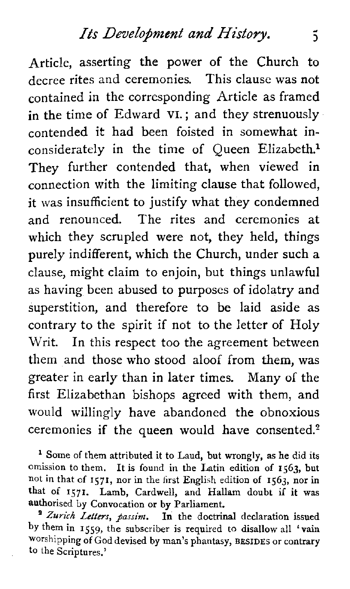Article, asserting the power of the Church to decree rites and ceremonies. This clause was not contained in the corresponding Article as framed in the time of Edward VI.; and they strenuously contended it had been foisted in somewhat inconsiderately in the time of Queen Elizabeth.<sup>1</sup> They further contended that, when viewed in connection with the limiting clause that followed, it was insufficient to justify what they condemned and renounced. The rites and ceremonies at which they scrupled were not, they held, things purely indifferent, which the Church, under such a clause, might claim to enjoin, but things unlawful as having been abused to purposes of idolatry and superstition, and therefore to be laid aside as contrary to the spirit if not to the letter of Holy Writ. In this respect too the agreement between them and those who stood aloof from them, was greater in early than in later times. Many of the first Elizabethan bishops agreed with them, and would willingly have abandoned the obnoxious ceremonies if the queen would have consented. $2$ 

**l** Some of them attributed it to Laud, but wrongly, **as** he did its omission to them. It is found in the Latin edition of **1563,** but not in that of **1571,** nor in the first English edition of **1563,** nor in that of **1571.** Lamb, Cardwell, and **Hallam** doubt if **it** was authorised by Convocation or by Parliament.

*Zurich Letters, passinz.* **In** the doctrinal declaration issued **by** them in **1559,** the subscriber is required to disallow all 'vain worshipping of God devised by man's phantasy, **BESIDES** or contrary to the Scriptures.'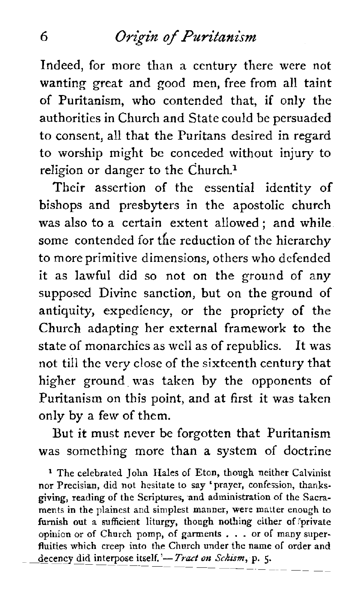Indeed, for more than a century there were not wanting' great and good men, free from all taint of Puritanism, who contended that, if only the authorities in Church and State could be persuaded to consent, all that the Puritans desired in regard to worship might be conceded without injury to religion or danger to the Church.<sup>1</sup>

Their assertion of the essential identity of bishops and presbyters in the apostolic church was also to a certain extent allowed: and while. some contended for the reduction of the hierarchy to more primitive dimensions, others who defended it as lawful did so not on the ground of any supposed Divine sanction, but on the ground of antiquity, expediency, or the propriety of the Church adapting her external framework to the state of monarchies as well as of republics. It was not till the very close of the sixteenth century that higher ground. was taken by the opponents of Puritanism on this point, and at first it was taken only by a few of them.

But it must never be forgotten that Puritanism was something more than a system of doctrine

<sup>1</sup> The celebrated John Hales of Eton, though neither Calvinist nor Precisian, did not hesitate to say 'prayer, confession, thanksgiving, reading of the Scriptures, and administration of the Sacraments in the plainest and simplest manner, were matter enough to furnish out a sufficient liturgy, though nothing either of private opinion or of Church pomp, of garments . . . or of many superfluities which creep into the Church under the name of order and decency did interpose itself.'-Tract on *Schism*, p. 5.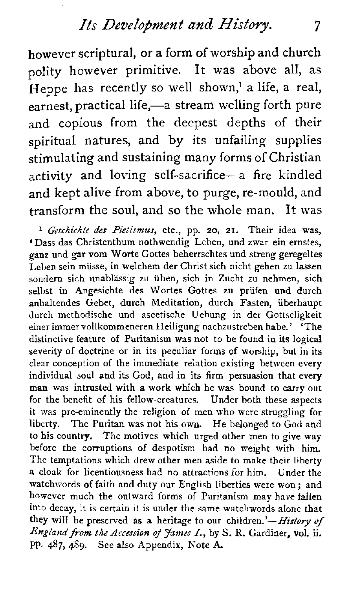*Its Development and History.* 7

however scriptural, or a form of worship and church polity however primitive. It was above all, as Heppe has recently so well shown,<sup>1</sup> a life, a real, earnest, practical life,—a stream welling forth pure and copious from the deepest depths of their spiritual natures, and by its unfailing supplies stimulating and sustaining many forms of Christian activity and loving self-sacrifice-a fire kindled and kept alive from above, to purge, re-mould, and transform the soul, and so the whole man. It was

**<sup>1</sup>***Geschichte des Pietismus,* etc., pp. **20, 21.** Their idea was, 'Dass das Christenthum nothwendig Leben, und zwar ein ernstes, ganz und gar vom Worte Gottes beherrschtes und streng geregeltes Leben sein miisse, in welchem der Christ sich nicht gehen **zu** lassen sondern sich unablassig **zu** uben, sich in Zucht zu nehmen, sich selbst in Angesichte des Wortes Gottes zu prüfen und durch anhaltendes Gebet, durch Meditation, durch Fasten, iiberhaupt durch methodische und ascetische Uebung in der Gottseligkeit einer immer vollkommencren Heiligung nachzustreben habe.' **'The**  distinctive feature of Puritanism was not to be found in **its** logical severity of doctrine or in its peculiar forms of worship, but in its clear conception of the immediate relation existing between every individual soul and its God, and in its firm persuasion that every man was intrusted with a work which he was bound to carry out for the benefit of his fellow-creatures. Under both these aspects it was pre-eminently the religion of men who were struggling for liberty. The Puritan was not his own. He belonged to God and to his county. The motives which urged other men to give way before the corruptions of despotism had no weight with him. The temptations which drew other men aside to make their liberty a cloak for licentiousness had no attractions for him. Under the watchwords of faith and duty our English liberties were won ; and however much the outward forms of Puritanism may have fallen into decay, it is certain it is under the same watchwords alone that they will be prescrved as a heritage to our children.'-History of *England* from the *Accession* of *James* **I.,** by *S.* R. Gardiner, **voL ii.**  Pp. 487,489. See also Appendix, Note A.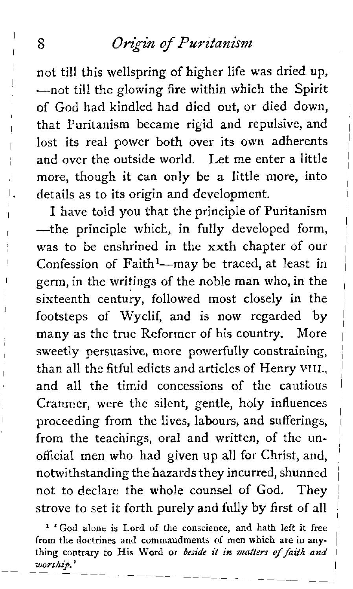not till this wellspring of higher life was dried up, -not till the glowing fire within which the Spirit of God had kindled had died out, or died down, <sup>1</sup> that Puritanism became rigid and repulsive, and lost its real power both over its own adherents and over the outside world. Let me enter a little more, though it can only be a little more, into details as to its origin and development.

I have told you that the principle of Puritanism  $-$ the principle which, in fully developed form, was to be enshrined in the xxth chapter of our Confession of Faith $1$ -may be traced, at least in germ, in the writings of the noble man who, in the sixteenth century, followed most closely in the footsteps of Wyclif, and is now regarded by many as the true Reformer of his country. More sweetly persuasive, more powerfully constraining, than all the fitful edicts and articles of Henry VIII., and all the timid concessions of the cautious Cranmer, were the silent, gentle, holy influences proceeding from the lives, labours, and sufferings, from the teachings, oral and written, of the unofficial men who had given up all for Christ, and, notwithstanding the hazards they incurred, shunned <sup>i</sup> not to declare the whole counsel of God. They <sup>1</sup> strove to set it forth purely and fully by first of all

' 'God **alone is** Lord **of the conscience, and hath left it free**  from the doctrines and commandments of men which are in any**thing contrary to His Word or beside it in** *matters* of *faith* **and** <sup>1</sup> *worship.'* l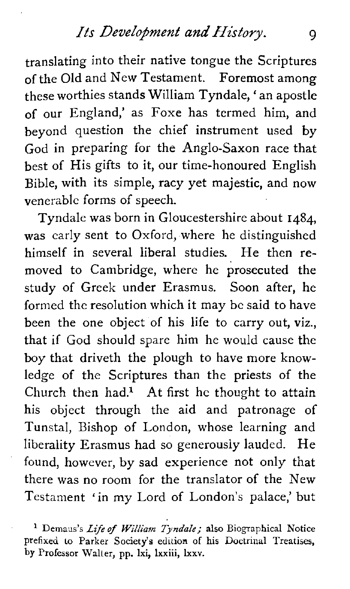translating into their native tongue the Scriptures of the Old and New Testament. Foremost among these worthies stands William Tyndale, ' an apostle of our England,' as Foxe has termed him, and beyond question the chief instrument used by God in preparing for the Anglo-Saxon race that best of His gifts to it, our time-honoured English Bible, with its simple, racy yet majestic, and now venerable forms of speech.

Tyndale was born in Gloucestershire about 1484, was early sent to Oxford, where he distinguished himself in several liberal studies. He then removed to Cambridge, where he prosecuted the study of Greek under Erasmus. Soon after, he formed the resolution which it may be said to have been the one object of his life to carry out, viz., that if God should spare him he would cause the boy that driveth the plough to have more knowledge of the Scriptures than the priests of the Church then had.<sup>1</sup> At first he thought to attain his object through the aid and patronage of Tunstal, Bishop of London, whose learning and liberality Erasmus had so generously lauded. He found, however, by sad experience not only that there was no room for the translator of the New Testament 'in my Lord of London's palace,' but

<sup>&</sup>lt;sup>1</sup> Demaus's *Life of William Tyndale*; also Biographical Notice prefixed to Parker Society's edition of his Doctrinal Treatises, **by** Professor Walter, pp. Ixi, lxxiii, **lxxv.**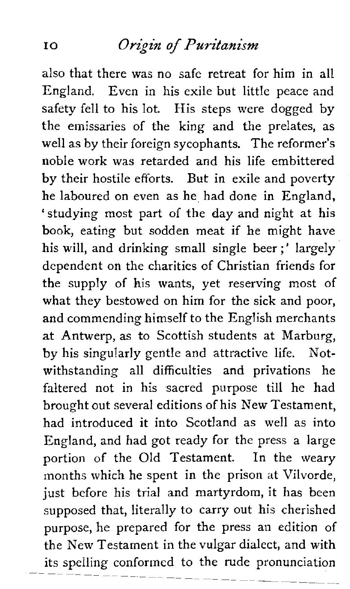also that there was no safe retreat for him in all England. Even in his exile but little peace and safety fell to his lot. His steps were dogged by the emissaries of the king and the prelates, as well as by their foreign sycophants. The reformer's noble work was retarded and his life embittered by their hostile efforts. But in exile and poverty he laboured on even as he had done in England, 'studying most part of the day and night at his book, eating but sodden meat if he might have his will, and drinking small single beer ;' largely dependent on the charities of Christian friends for the supply of his wants, yet reserving most of what they bestowed on him for the sick and poor, and commending himself to the English merchants at Antwerp, as to Scottish students at Marburg, by his singularly gentle and attractive life. Notwithstanding all difficulties and privations he faltered not in his sacred purpose till he had brought out several editions of his New Testament, had introduced it into Scotland as well as into England, and had got ready for the press a large portion of the Old Testament. In the weary months which he spent in the prison at Vilvorde, just before his trial and martyrdom, it has been supposed that, literally to carry out his cherished purpose, he prepared for the press an edition of the New Testament in the vulgar dialect, and with its spelling conformed to the rude pronunciation<br> $\frac{p_1}{p_1} = \frac{p_2}{p_1} = \frac{p_1}{p_2} = \frac{p_2}{p_1} = \frac{p_1}{p_2} = \frac{p_2}{p_2} = \frac{p_1}{p_2} = \frac{p_2}{p_1} = \frac{p_2}{p_2} = \frac{p_1}{p_2} = \frac{p_2}{p_2} = \frac{p_1}{p_2} = \frac{p_2}{p_2} = \frac{p_2}{p_2} = \frac{$ 

p-p- p-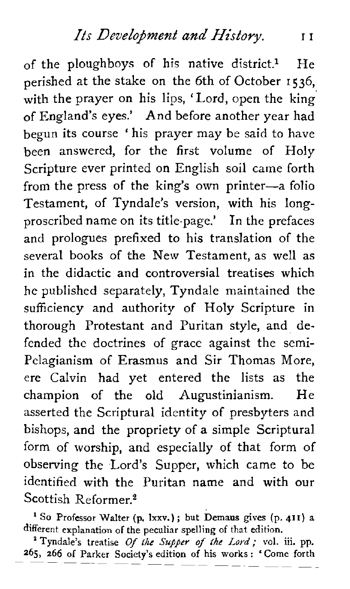of the ploughboys of his native district.<sup>1</sup> He perished at the stake on the 6th of October 1536, with the prayer on his lips, 'Lord, open the king of England's eyes.' And before another year had begun its course ' his prayer may be said to have been answered, for the first volume of Holy Scripture ever printed on English soil came forth from the press of the king's own printer-a folio Testament, of Tyndale's version, with his Iongproscribed name on its title-page.' In the prefaces and prologues prefixed to his translation of the several books of the New Testament, as well as in the didactic and controversial treatises which he published separately, Tyndale maintained the sufficiency and authority of Holy Scripture in thorough Protestant and Puritan style, and defended the doctrines of grace against the semi-Pclagianism of Erasmus and Sir Thomas More, ere Calvin had yet entered the lists as the champion of the old Augustinianism. He asserted the Scriptural identity of presbyters and bishops, and the propriety of a simple Scriptural form of worship, and especially of that form of observing the Lord's Supper, which came to be identified with the Puritan name and with our  $Scottish$  Reformer<sup>2</sup>

**SO Professor Walter (p. Ixxv.)** ; **but Demaus gives (p. 411) <sup>a</sup> different explanation of the peculiar spelling of that** edition.

' **Tyndale's treatise Of** *the Supper* **of** the **Lord; vol. iii. pp.**  <sup>2</sup> Tyndale's treatise *Of the Supper of the Lord*; vol. iii. pp.<br>265, 266 of Parker Society's edition of his works : 'Come forth  $-$  --  $-$  --  $-$  -- --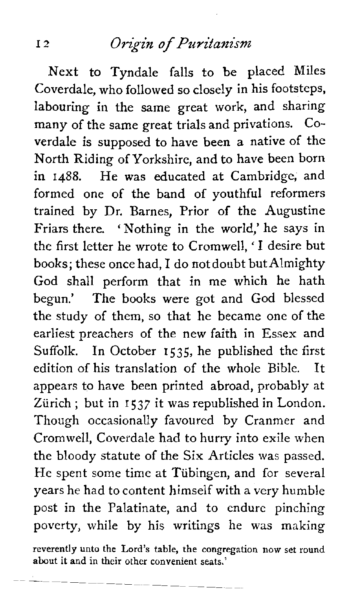Next to Tyndale falls to be placed Miles Coverdale, who followed so closely in his footsteps, labouring in the same great work, and sharing many of the same great trials and privations. Coverdale is supposed to have been a native of the North Riding of Yorkshire, and to have been born in 1488. He was educated at Cambridge, and formed one of the band of youthful reformers trained by Dr. Barnes, Prior of the Augustine Friars there. 'Nothing in the world,' he says in the first letter he wrote to Cromwell, 'I desire but books; these once had, I do not doubt butAlmighty God shall perform that in me which he hath begun.' The books were got and God blessed the study of them, so that he became one of the earliest preachers of the new faith in Essex and Suffolk. In October **1535,** he published the first edition of his translation of the whole Bible. It appears to have been printed abroad, probably at Zürich ; but in 1537 it was republished in London. Though occasionally favoured by Cranmer and Cromwell, Coverdale had to hurry into exile when the bloody statute of the Six Articles was passed. He spent some time at Tübingen, and for several years he had to content himself with a very humble post in the Palatinate, and to endure pinching poverty, while by his writings he was making

**reverently unto the Lord's table, the congregation now set round about it and in their other convenient seats.'**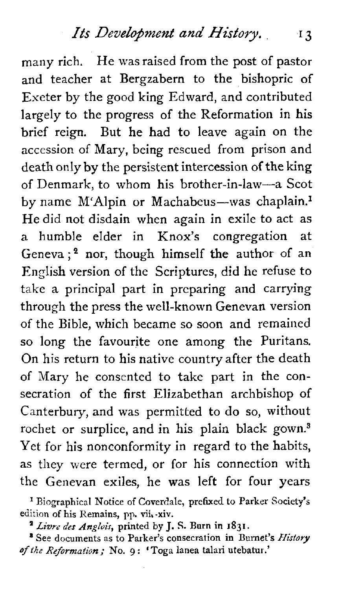many rich. He was raised from the post of pastor and teacher at Bergzabern to the bishopric of Exeter by the good king Edward, and contributed largely to the progress of the Reformation in his brief reign. But he had to leave again on the accession of Mary, being rescued from prison and death only by the persistent intercession of the king of Denmark, to whom his brother-in-law-a Scot by name M'Alpin or Machabeus-was chaplain.<sup>1</sup> He did not disdain when again in exile to act as a humble elder in Knox's congregation at Geneva; $2$  nor, though himself the author of an English version of the Scriptures, did he refuse to take a principal part in preparing and carrying through the press the well-known Genevan version of the Bible, which became so soon and remained so long the favourite one among the Puritans. On his return to his native country after the death of Mary he consented to take part in the consecration of the first Elizabethan archbishop of Canterbury, and was permitted to do so, without rochet or surplice, and in his plain black gown.<sup>3</sup> Yet for his nonconformity in regard to the habits, as they were termed, or for his connection with the Genevan exiles, he was left for four years

' **Biographical Notice** of **Coverdale, prefixed to Parker** Society's **edition of his Remains, pp. vii,-xiv.** 

*Livre* des *Anglais,* **printed by J. S. Burn in 1831.** 

**'See documents as to Parker's consecration in Burnet's History of** *the Reformation;* **No. g** : **'Toga lanea talari utebatur.'**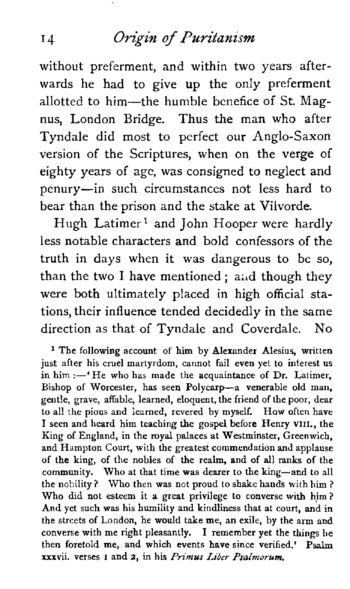without preferment, and within two years afterwards he had to give up the only preferment allotted to him-the humble benefice of St. Magnus, London Bridge. Thus the man who after Tyndale did most to perfect our Anglo-Saxon version of the Scriptures, when on the verge of eighty years of age, was consigned to neglect and penury-in such circumstances not less hard to bear than the prison and the stake at Vilvorde.

Hugh Latimer<sup>1</sup> and John Hooper were hardly less notable characters and bold confessors of the truth in days when it was dangerous to be so, than the two I have mentioned ; ai.d though they were both ultimately placed in high official stations, their influence tended decidedly in the same direction as that of Tyndale and Coverdale. No

<sup>1</sup> The following account of him by Alexander Alesius, written just after his cruel martyrdom, cannot fail even yet to interest us in him  $:$   $-$ 'He who has made the acquaintance of Dr. Latimer, Bishop of Worcester, has seen Polycarp-a venerable old man, gentle, grave, affable, learned, eloquent, the friend of the poor, dear to all the pious and learned, revered by myself. How often have I seen and heard him teaching the gospel before Henry **VIII.,** the King of England, in the royal palaces at Westminster, Greenwich, and Hampton Court, with the greatest commendation and applause of the king, of the nobles of the realm, and of all ranks of the community. Who at that time was dearer to the king-and to all the nobility ? Who then was not proud to shake hands with him ? Who **did** not esteem it a great privilege to converse with him? And yet such was his humility and kindliness that at court, and in the streets of London, he would take me, an exile, by the arm and converse with me right pleasantly. I remember yet the things he then foretold me, and which events have since verified.' Psalm then foretold me, and which events have since verified.' xxxvii. verses I and 2, in his *Primus Liber Pralmorum.*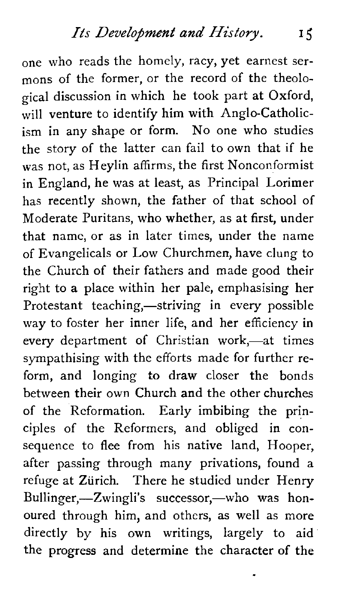one who reads the homely, racy, yet earnest sermons of the former, or the record of the theological discussion in which he took part at Oxford, will venture to identify him with Anglo-Catholicism in any shape or form. No one who studies the story of the latter can fail to own that if he was not, as Heylin affirms, the first Nonconformist in England, he was at least, as Principal Lorimer has recently shown, the father of that school of Moderate Puritans, who whether, as at first, under that name, or as in later times, under the name of Evangelicals or Low Churchmen, have clung to the Church of their fathers and made good their right to a place within her pale, emphasising her Protestant teaching,—striving in every possible way to foster her inner life, and her efficiency in every department of Christian work,-at times sympathising with the efforts made for further reform, and longing to draw closer the bonds between their own Church and the other churches of the Reformation. Early imbibing the principles of the Reformers, and obliged in consequence to flee from his native land, Hooper, after passing through many privations, found a refuge at Zürich. There he studied under Henry Bullinger,-Zwingli's successor,-who was honoured through him, and others, as well as more directly by his own writings, largely to aid the progress and determine the character of the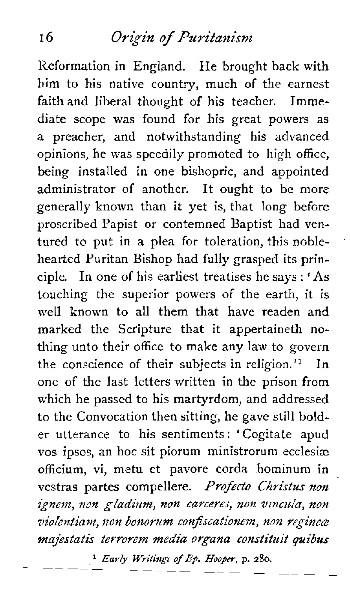Reformation in England. He brought back with him to his native country, much of the earnest faith and liberal thought of his teacher. Immediate scope was found for his great powers as a preacher, and notwithstanding his advanced opinions, he was speedily promoted to high office, being installed in one bishopric, and appointed administrator of another. It ought to be more generally known than it yet is, that long before proscribed Papist or contemned Baptist had ventured to put in a plea for toleration, this noblehearted Puritan Bishop had fully grasped its principle. In one of his earliest treatises he says : 'As touching the superior powers of the earth, it is well known to all them that have readen and marked the Scripture that it appertaineth nothing unto their office to make any law to govern the conscience of their subjects in religion.'l In one of the last letters written in the prison from which he passed to his martyrdom, and addressed to the Convocation then sitting, he gave still bolder utterance to his sentiments : ' Cogitate apud vos ipsos, an hoc sit piorum ministrorum ecclesiae officium, vi, metu et pavore corda hominum in vestras partes compellere. Profecto Christus non ignem, non *gladium, non carceres, non vincula*, non violentiam, non bonorum confiscationem, non regineæ majestatis terrorem media organa constituii *quibus* 

*Early Writings of Bp. Hooper*, p. 280.<br>  $- - - - - - - - - - - - - - -$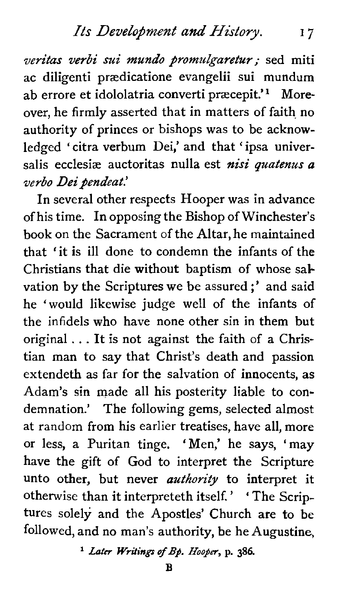#### *Its Development and History.* 17

veritas verbi sui mundo promulgaretur; sed miti ac diligenti prædicatione evangelii sui mundum ab errore et idololatria converti præcepit.'<sup>1</sup> Moreover, he firmly asserted that in matters of faith no authority of princes or bishops was to be acknowledged ' citra verbum Dei,' and that ' ipsa universalis ecclesiæ auctoritas nulla est nisi quatenus a verbo Dei pendeat.'

In several other respects Hooper was in advance of his time. In opposing the Bishop of Winchester's book on the Sacrament of the Altar, he maintained that 'it is ill done to condemn the infants of the Christians that die without baptism of whose salvation by the Scriptures we be assured ;' and said he 'would likewise judge well of the infants of the infidels who have none other sin in them but original . . . It is not against the faith of a Christian man to say that Christ's death and passion extendeth as far for the salvation of innocents, as Adam's sin made all his posterity liable to condemnation.' The following gems, selected almost at random from his earlier treatises, have all, more or less, a Puritan tinge. 'Men,' he says, 'may have the gift of God to interpret the Scripture unto other, but never **authority** to interpret it otherwise than it interpreteth itself. ' ' The Scriptures solely and the Apostles' Church are to be followed, and no man's authority, be he Augustine,

<sup>1</sup> *Later Writings of Bp. Hooper*, p. 386.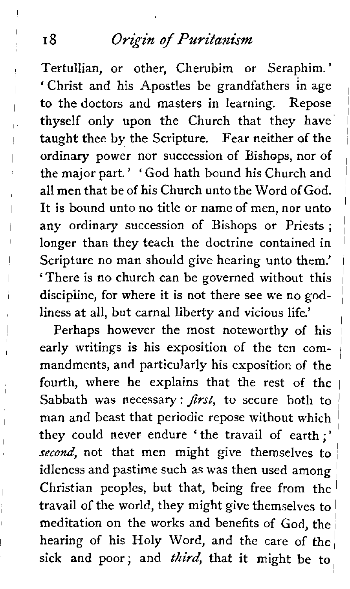Tertullian, or other, Cherubim or Seraphim.' ' Christ and his Apostles be grandfathers in age to the doctors and masters in learning. Repose thyself only upon the Church that they have taught thee by the Scripture. Fear neither of the ordinary power nor succession of Bishops, nor of the major part. ' ' God hath bound his Church and all men that be of his Church unto the Word of God. It is bound unto no title or name of men, nor unto any ordinary succession of Bishops or Priests ; 1 longer than they teach the doctrine contained in <sup>1</sup> Scripture no man should give hearing unto them.' 'There is no church can be governed without this <sup>1</sup> discipline, for where it is not there see we no godliness at all, but carnal liberty and vicious life.'

Perhaps however the most noteworthy of his early writings is his exposition of the ten commandments, and particularly his exposition of the fourth, where he explains that the rest of the Sabbath was necessary:  $first$ , to secure both to man and beast that periodic repose without which <sup>1</sup> they could never endure 'the travail of earth;' *second,* not that men might give themselves to idleness and pastime such as was then used among Christian peoples, but that, being free from the travail of the world, they might give themselves to <sup>l</sup> meditation on the works and benefits of God, the hearing of his Holy Word, and the care of the sick and poor; and *third*, that it might be to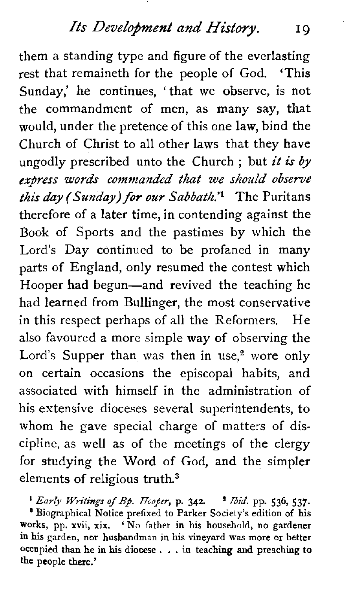them a standing type and figure of the everlasting rest that remaineth for the people of God. 'This Sunday,' he continues, 'that we observe, is not the commandment of men, as many say, that would, under the pretence of this one law, bind the Church of Christ to all other laws that they have ungodly prescribed unto the Church; but it is by **express words** *commanded that we should observe this day* **(Sunday) for** our *Sabbath.'^* The Puritans therefore of a later time, in contending against the Book of Sports and the pastimes by which the Lord's Day continued to be profaned in many parts of England, only resumed the contest which Hooper had begun-and revived the teaching he had learned from Bullinger, the most conservative in this respect perhaps of all the Reformers. He also favoured a more simple way of observing the Lord's Supper than was then in use, $2$  wore only on certain occasions the episcopal habits, and associated with himself in the administration of his extensive dioceses several superintendents, to whom he gave special charge of matters of discipline, as well as of the meetings of the clergy for studying the Word of God, and the simpler elements of religious truth.3

*'Early WritingsofBj. Hoofer,p.342.* **'Ibid.pp.536,537.** ' **Biographical Notice prefixed to Parker Society's edition of his works, pp. xvii, xix.** ' **No father in his household, no gardener in his garden, nor husbandman in his vineyard was more or better occupied than he in his diocese** . . . **in teaching and preaching to the people there.'**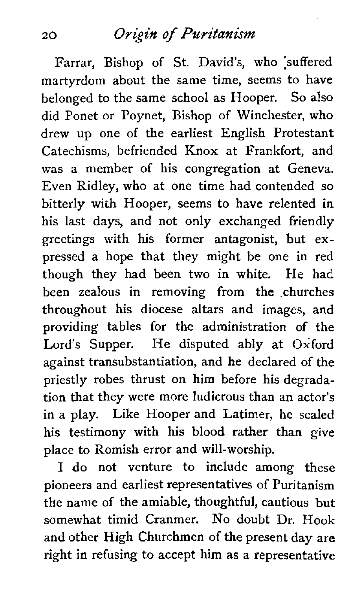Farrar, Bishop of St. David's, who 'suffered martyrdom about the same time, seems to have belonged to the same school as Hooper. So also did Ponet or Poynet, Bishop of Winchester, who drew up one of the earliest English Protestant Catechisms, befriended Knox at Frankfort, and was a member of his congregation at Geneva. Even Ridley, who at one time had contended so bitterly with Hooper, seems to have relented in his last days, and not only exchanged friendly greetings with his former antagonist, but expressed a hope that they might be one in red though they had been two in white. He had been zealous in removing from the .churches throughout his diocese altars and images, and providing tables for the administration of the Lord's Supper. He disputed ably at Oxford against transubstantiation, and he declared of the priestly robes thrust on him before his degradation that they were more ludicrous than an actor's in a play. Like Hooper and Latimer, he sealed his testimony with his blood rather than give place to Romish error and will-worship.

I do not venture to include among these pioneers and earliest representatives of Puritanism the name of the amiable, thoughtful, cautious but somewhat timid Cranmer. No doubt Dr. Hook and other High Churchmen of the present day are right in refusing to accept him as a representative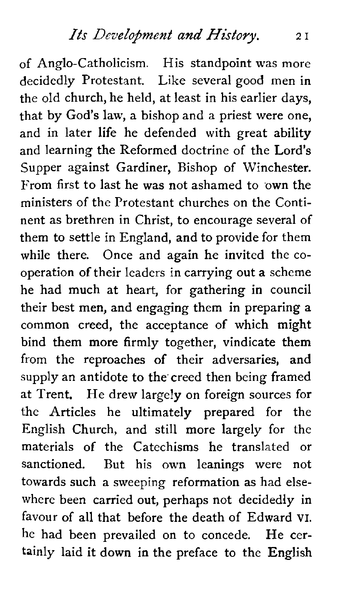of Anglo-Catholicism. His standpoint was more decidedly Protestant. Like several good men in the old church, he held, at least in his earlier days, that by God's law, a bishop and a priest were one, and in later life he defended with great ability and learning the Reformed doctrine of the Lord's Supper against Gardiner, Bishop of Winchester. From first to last he was not ashamed to own the ministers of the Protestant churches on the Continent as brethren in Christ, to encourage several of them to settle in England, and to provide for them while there. Once and again he invited the cooperation of their leaders in carrying out a scheme he had much at heart, for gathering in council their best men, and engaging them in preparing a common creed, the acceptance of which might bind them more firmly together, vindicate them from the reproaches of their adversaries, and supply an antidote to the'creed then being framed at Trent. He drew largely on foreign sources for the Articles he ultimately prepared for the English Church, and still more largely for the materials of the Catechisms he translated or sanctioned. But his own leanings were not towards such a sweeping reformation as had elsewhere been carried out, perhaps not decidedly in favour of all that before the death of Edward VI. he had been prevailed on to concede. He certainly laid it down in the preface to the English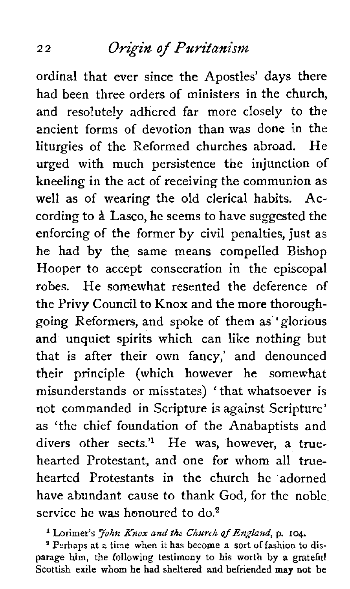ordinal that ever since the Apostles' days there had been three orders of ministers in the church. and resolutely adhered far more closely to the ancient forms of devotion than was done in the liturgies of the Reformed churches abroad. He urged with much persistence the injunction of kneeling in the act of receiving the communion as well as of wearing the old clerical habits. According to **A.** Lasco, he seems to have suggested the enforcing of the former by civil penalties, just as he had by the. same means compelled Bishop Hooper to accept consecration in the episcopal robes. He somewhat resented the deference of the Privy Council to Knox and the more thoroughgoing Reformers, and spoke of them as' glorious and unquiet spirits which can like nothing but that is after their own fancy,' and denounced their principle (which however he somewhat misunderstands or misstates) ' that whatsoever is not commanded in Scripture is against Scripture' as 'the chief foundation of the Anabaptists and divers other sects.<sup>'1</sup> He was, however, a truehearted Protestant, and one for whom all truehearted Protestants in the church he adorned have abundant cause to thank God, for the noble service he was honoured to  $do^2$ 

**l Lorimer's John Knox and** *the Church* **of** *England,* **p. 104.** 

**a Perhaps at a time when it has become a sort of fashion to disparage him, the following testimony to his worth by a grateful Scottish exile whom he had sheltered and befriended may not be**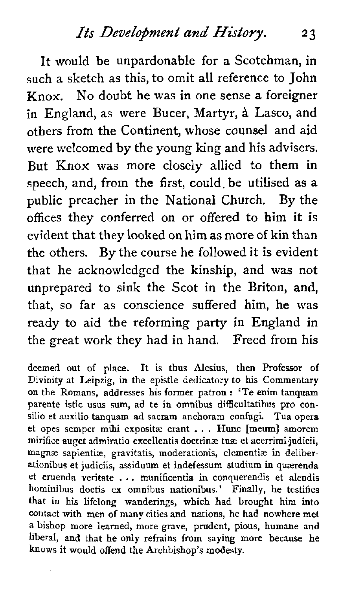It would be unpardonable for a Scotchman, in such a sketch as this, to omit all reference to John Knox. No doubt he was in one sense a foreigner in England, as were Bucer, Martyr, **A** Lasco, and others from the Continent, whose counsel and aid were welcomed by the young king and his advisers, But Knox was more closely allied to them in speech, and, from the first, could, be utilised as a public preacher in the National Church. By the offices they conferred on or offered to him it is evident that they looked on him as more of kin than the others. By the course he followed it is evident that he acknowledged the kinship, and was not unprepared to sink the Scot in the Briton, and, that, so far as conscience suffered him, he was ready to aid the reforming party in England in the great work they had in hand. Freed from his

deemed out of place. It is thus Alesius, then Professor of Divinity at Leipzig, in the epistle dedicatory to his Commentary on the Romans, addresses his former patron : 'Te enim tanquam parente istic usus sum, ad te in omnibus difficultatibus pro consilio et auxilio tanquam ad sacram anchoram confugi. Tua opera et opes semper mihi expositee erant . . . Hunc [meum] amorem mirifice auget admiratio excellentis doctrinæ tuæ et acerrimi judicii, magnæ sapientiæ, gravitatis, moderationis, clementiæ in deliberationibus et judiciis, assiduum et indefessum studium in quærenda et eruenda veritate . . . munificentia in conquerendis et alendis hominibus doctis **ex** omnibus nationibus.' Finally, he testifies that in his lifelong wanderings, which had brought him into contact with men of many cities and nations, he had nowhere met a bishop more learned, more grave, prudent, pious, humane and liberal, and that he only refrains from saying more because he knows it would offend the Archbishop's modesty.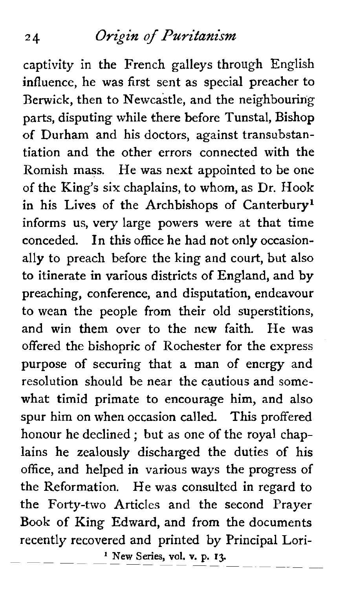captivity in the French galleys through English influence, he was first sent as special preacher to Berwick, then to Newcastle, and the neighbouring parts, disputing while there before Tunstal, Bishop of Durham and his doctors, against transubstantiation and the other errors connected with the Romish mass. He was next appointed to be one of the King's six chaplains, to whom, as Dr. Hook in his Lives of the Archbishops of Canterbury<sup>1</sup> informs us, very large powers were at that time conceded. In this office he had not only occasionally to preach before the king and court, but also to itinerate in various districts of England, and by preaching, conference, and disputation, endeavour to wean the people from their old superstitions, and win them over to the new faith. He was offered the bishopric of Rochester for the express purpose of securing that a man of energy and resolution should be near the cautious and somewhat timid primate to encourage him, and also spur him on when occasion called. This proffered honour he declined ; but as one of the royal chaplains he zealously discharged the duties of his office, and helped in various ways the progress of the Reformation. He was consulted in regard to the Forty-two Articles and the second Prayer Book of King Edward, and from the documents recently recovered and printed by Principal Lori-<br>
—————————<sup>1</sup> New Series, vol. v. p. 13.  $---$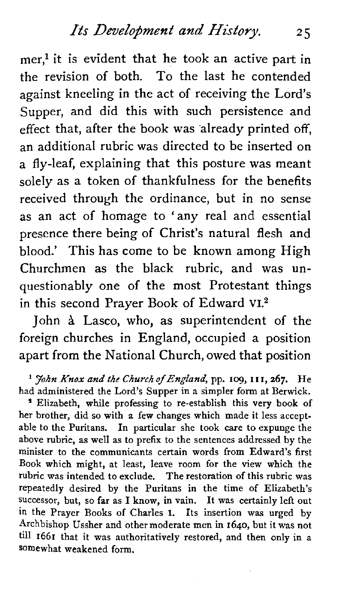$mer<sup>1</sup>$  it is evident that he took an active part in the revision of both. To the last he contended against kneeling in the act of receiving the Lord's Supper, and did this with such persistence and effect that, after the book was already printed off, an additional rubric was directed to be inserted on a fly-leaf, explaining that this posture was meant solely as a token of thankfulness for the benefits received through the ordinance, but in no sense as an act of homage to 'any real and essential presence there being of Christ's natural flesh and blood.' This has come to be known among High Churchmen as the black rubric, and was unquestionably one of the most Protestant things in this second Prayer Book of Edward VI.<sup>2</sup>

John **A** Lasco, who, as superintendent of the foreign churches in England, occupied a position apart from the National Church, owed that position

her brother, did so with a few changes which made it less acceptable to the Puritans. In particular she took care to expunge the above rubric, as well as to prefix to the sentences addressed by the minister to the communicants certain words from Edward's first Book which might, at least, leave room for the view which the rubric was intended to exclude. The restoration of this rubric was repeatedly desired by the Puritans in the time of Elizabeth's successor, but, so far as I know, in vain. It was certainly left out in the Prayer Books of Charles I. Its insertion was urged by Archbishop Ussher and other moderate men in **1640,** but it was not till 1661 that it was authoritatively restored, and then only in a somewhat weakened form.

<sup>&#</sup>x27; *John Knox and the Church of England,* pp. **109,** I **1 I, 267.** He had administered the Lord's Supper in a simpler form at Berwick. ' Elizabeth, while professing to re-establish this very book of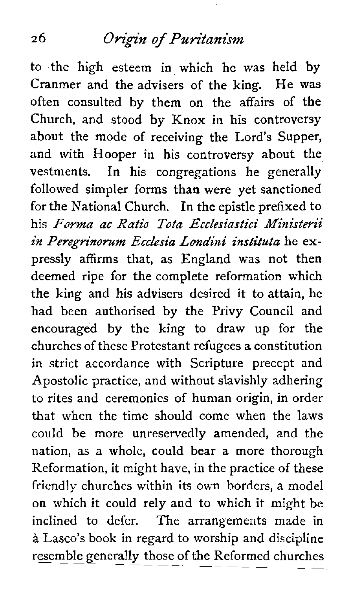to the high esteem in which he was held by Cranmer and the advisers of the king. He was often consulted by them on the affairs of the Church, and stood by Knox in his controversy about the mode of receiving the Lord's Supper, and with Hooper in his controversy about the vestments. In his congregations he generally followed simpler forms than were yet sanctioned for the National Church. In the epistle prefixed to his *Forma ac* Ratio *Tota Ecclesiastic! Ministerii*  in Peregrinorum Ecclesia Londini instituta he expressly affirms that, as England **was** not then deemed ripe for the complete reformation which the king and his advisers desired it to attain, he had been authorised by the Privy Council and encouraged by the king to draw up for the churches of these Protestant refugees a constitution in strict accordance with Scripture precept and Apostolic practice, and without slavishly adhering to rites and ceremonies of human origin, in order that when the time should come when the laws could be more unreservedly amended, and the nation, as a whole, could bear a more thorough Reformation, it might have, in the practice of these friendly churches within its own borders, a model on which it could rely and to which it might be inclined to defer. The arrangements made in  $\alpha$  Lasco's book in regard to worship and discipline<br>resemble generally those of the Reformed churches resemble generally those of the Reformed churches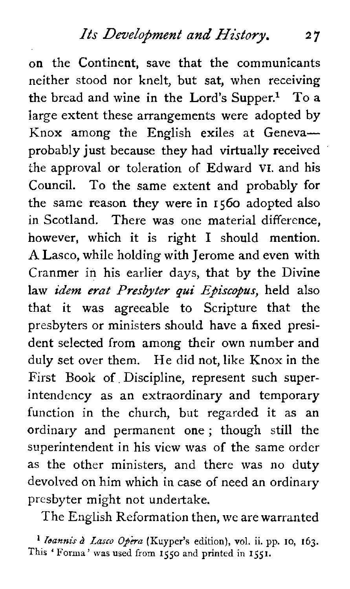on the Continent, save that the communicants neither stood nor knelt, but sat, when receiving the bread and wine in the Lord's Supper.<sup>1</sup> To a large extent these arrangements were adopted by Knox among the English exiles at Genevaprobably just because they had virtually received the approval or toleration of Edward VI. and his Council. To the same extent and probably for the same reason they were in **1560** adopted also in Scotland. There was one material difference, however, which it is right I should mention. **A** Lasco, while holding with Jerome and even with Cranmer in his earlier days, that by the Divine law *idem erat Presbyter qui Episcopus*, held also that it was agreeable to Scripture that the presbyters or ministers should have a fixed president selected from among their own number and duly set over them. He did not, like Knox in the First Book of Discipline, represent such superintendency as an extraordinary and temporary function in the church, but regarded it as an ordinary and permanent one ; though still the superintendent in his view was of the same order as the other ministers, and there was no duty devolved on him which in case of need an ordinary presbyter might not undertake.

The English Reformation then, we are warranted

*I Ioannis à Lasco Opera* (Kuyper's edition), vol. ii. pp. 10, 163. **This** ' Forma' **was used from 1550 and printed in 1551.**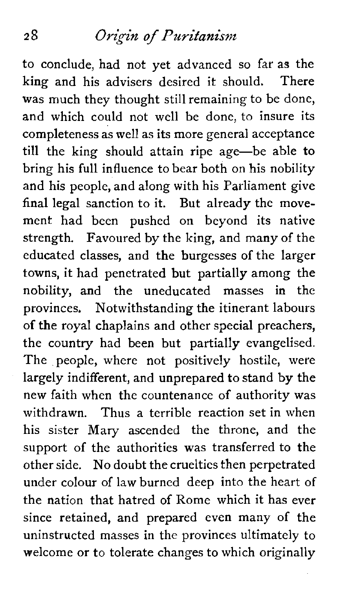to conclude, had not yet advanced so far as the king and his advisers desired it should. There was much they thought still remaining to be done, and which could not well be done, to insure its completeness as well as its more general acceptance till the king should attain ripe age-be able to bring his full influence to bear both on his nobility and his people, and along with his Parliament give final legal sanction to it. But already the movement had been pushed on beyond its native strength. Favoured by the king, and many of the educated classes, and the burgesses of the larger towns, it had penetrated but partially among the nobility, and the uneducated masses in the provinces. Notwithstanding the itinerant labours of the royal chaplains and other special preachers, the country had been but partially evangelised. The people, where not positively hostile, were largely indifferent, and unprepared to stand by the new faith when the countenance of authority was withdrawn. Thus a terrible reaction set in when his sister Mary ascended the throne, and the support of the authorities was transferred to the other side. No doubt the cruelties then perpetrated under colour of law burned deep into the heart of the nation that hatred of Rome which it has ever since retained, and prepared even many of the uninstructed masses in the provinces ultimately to welcome or to tolerate changes to which originally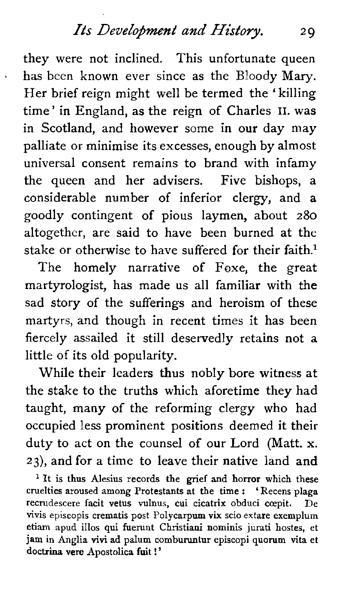#### *Its Development and History.* 29

they were not inclined. This unfortunate queen has been known ever since as the Bloody Mary. Her brief reign might well be termed the ' killing time' in England, as the reign of Charles **11.** was in Scotland, and however some in our day may palliate or minimise its excesses, enough by almost universal consent remains to brand with infamy the queen and her advisers. Five bishops, a considerable number of inferior clergy, and a goodly contingent of pious laymen, about 280 altogether, are said to have been burned at the stake or otherwise to have suffered for their faith.<sup>1</sup>

The homely narrative of Foxe, the great martyrologist, has made us all familiar with the sad story of the sufferings and heroism of these martyrs, and though in recent times it has been fiercely assailed it still deservedly retains not a little of its old popularity.

While their leaders thus nobly bore witness at the stake to the truths which aforetime they had taught, many of the reforming clergy who had occupied less prominent positions deemed it their duty to act on the counsel of our Lord (Matt. **X.**  23), and for a time to leave their native land and

**<sup>l</sup>It is thus Alesius records the grief and horror which these cruelties aroused among Protestants at the time** : ' **Recens plaga**  recrudescere facit vetus vulnus, cui cicatrix obduci cœpit. **vivis episcopis crematis post Polycarpum vix scio extare exemplum etiam apud illos qui fuemnt Christiani nominis jurati hostes, et jam in Anglia vivi ad palum comburuntur episcopi quorum vita et doctrina vere Apostolica fuit** ! '